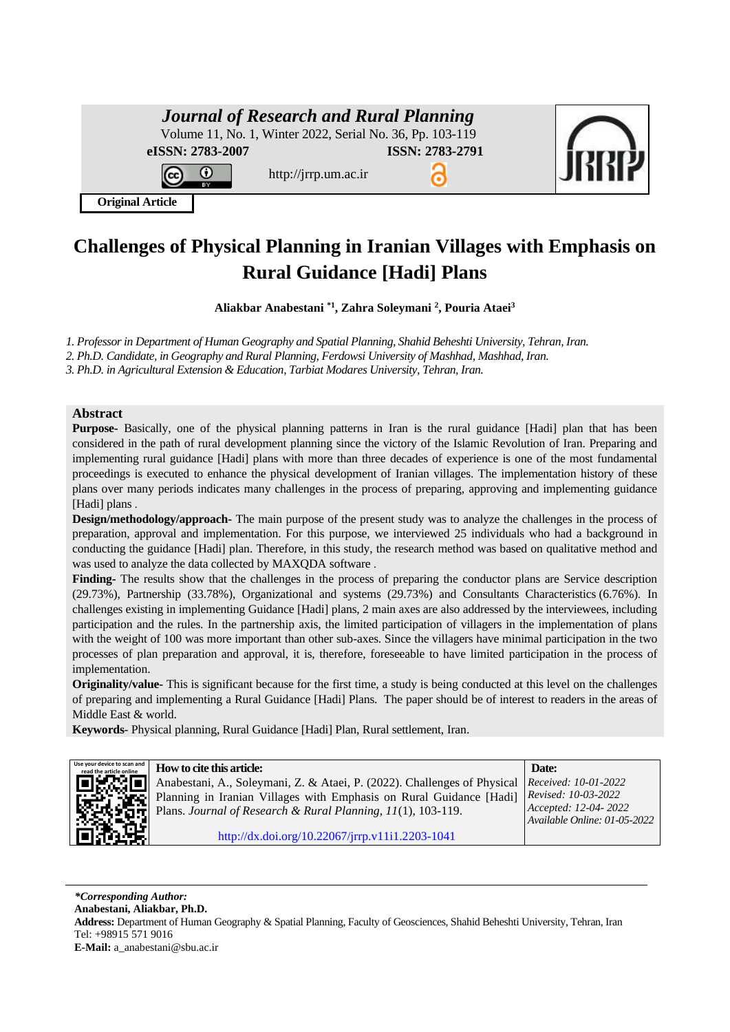| <b>Journal of Research and Rural Planning</b><br>Volume 11, No. 1, Winter 2022, Serial No. 36, Pp. 103-119 |                        |  |
|------------------------------------------------------------------------------------------------------------|------------------------|--|
| eISSN: 2783-2007<br>http://jrrp.um.ac.ir                                                                   | <b>ISSN: 2783-2791</b> |  |
| <b>Original Article</b>                                                                                    |                        |  |

# **Challenges of Physical Planning in Iranian Villages with Emphasis on Rural Guidance [Hadi] Plans**

**Aliakbar Anabestani \*1 , Zahra Soleymani <sup>2</sup> , Pouria Ataei<sup>3</sup>**

*1. Professor in Department of Human Geography and Spatial Planning, Shahid Beheshti University, Tehran, Iran.*

*2. Ph.D. Candidate, in Geography and Rural Planning, Ferdowsi University of Mashhad, Mashhad, Iran.*

*3. Ph.D. in Agricultural Extension & Education, Tarbiat Modares University, Tehran, Iran.*

#### **Abstract**

**Purpose-** Basically, one of the physical planning patterns in Iran is the rural guidance [Hadi] plan that has been considered in the path of rural development planning since the victory of the Islamic Revolution of Iran. Preparing and implementing rural guidance [Hadi] plans with more than three decades of experience is one of the most fundamental proceedings is executed to enhance the physical development of Iranian villages. The implementation history of these plans over many periods indicates many challenges in the process of preparing, approving and implementing guidance [Hadi] plans.

**Design/methodology/approach-** The main purpose of the present study was to analyze the challenges in the process of preparation, approval and implementation. For this purpose, we interviewed 25 individuals who had a background in conducting the guidance [Hadi] plan. Therefore, in this study, the research method was based on qualitative method and was used to analyze the data collected by MAXQDA software .

**Finding-** The results show that the challenges in the process of preparing the conductor plans are Service description (29.73%), Partnership (33.78%), Organizational and systems (29.73%) and Consultants Characteristics (6.76%) . In challenges existing in implementing Guidance [Hadi] plans, 2 main axes are also addressed by the interviewees, including participation and the rules. In the partnership axis, the limited participation of villagers in the implementation of plans with the weight of 100 was more important than other sub-axes. Since the villagers have minimal participation in the two processes of plan preparation and approval, it is, therefore, foreseeable to have limited participation in the process of implementation.

**Originality/value-** This is significant because for the first time, a study is being conducted at this level on the challenges of preparing and implementing a Rural Guidance [Hadi] Plans. The paper should be of interest to readers in the areas of Middle East & world.

**Keywords**- Physical planning, Rural Guidance [Hadi] Plan, Rural settlement, Iran.



**read the article online How to cite this article: Date:** Anabestani, A., Soleymani, Z. & Ataei, P. (2022). Challenges of Physical Planning in Iranian Villages with Emphasis on Rural Guidance [Hadi] Plans. *Journal of Research & Rural Planning, 11*(1), 103-119. *Received: 10-01-2022 Revised: 10-03-2022 Accepted: 12-04- 2022 Available Online: 01-05-2022*  [http://dx.doi.org/10.22067/jrrp.v11i1.2203-1041](http://dx.doi.org/10.22067/jrrp.v10i1.88785)

*\*Corresponding Author:* **Anabestani, Aliakbar, Ph.D. Address:** Department of Human Geography & Spatial Planning, Faculty of Geosciences, Shahid Beheshti University, Tehran, Iran Tel: +98915 571 9016 **E-Mail:** a\_anabestani@sbu.ac.ir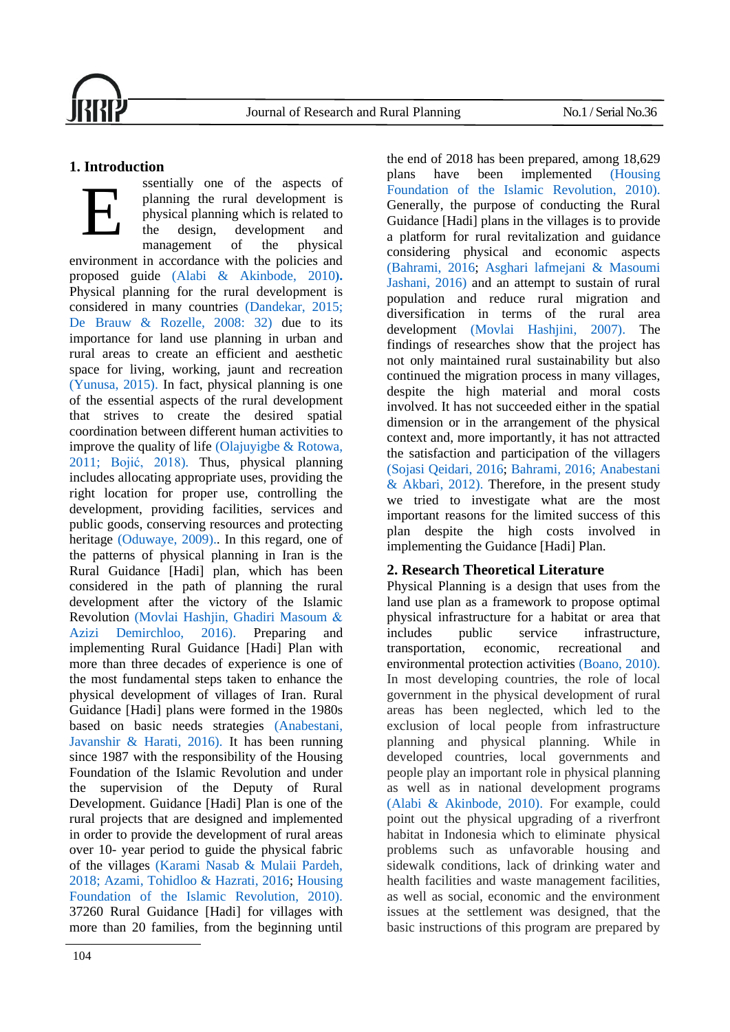

# **1. Introduction**

ssentially one of the aspects of planning the rural development is physical planning which is related to the design, development and management of the physical environment in accordance with the policies and proposed guide [\(Alabi & Akinbode, 2010](#page-11-0)). Physical planning for the rural development is considered in many countries [\(Dandekar, 2015;](#page-12-0) De [Brauw & Rozelle, 2008: 32\)](#page-12-1) due to its importance for land use planning in urban and rural areas to create an efficient and aesthetic space for living, working, jaunt and recreation [\(Yunusa, 2015\).](#page-14-0) In fact, physical planning is one of the essential aspects of the rural development that strives to create the desired spatial coordination between different human activities to improve the quality of life [\(Olajuyigbe & Rotowa,](#page-13-0)  [2011;](#page-13-0) [Bojić, 2018\).](#page-12-2) Thus, physical planning includes allocating appropriate uses, providing the right location for proper use, controlling the development, providing facilities, services and public goods, conserving resources and protecting heritage [\(Oduwaye, 2009\)..](#page-13-1) In this regard, one of the patterns of physical planning in Iran is the Rural Guidance [Hadi] plan, which has been considered in the path of planning the rural development after the victory of the Islamic Revolution [\(Movlai Hashjin, Ghadiri Masoum &](#page-13-2) [Azizi Demirchloo, 2016\).](#page-13-2) Preparing and implementing Rural Guidance [Hadi] Plan with more than three decades of experience is one of the most fundamental steps taken to enhance the physical development of villages of Iran.Rural Guidance [Hadi] plans were formed in the 1980s based on basic needs strategies [\(Anabestani,](#page-11-1)  [Javanshir & Harati, 2016\).](#page-11-1) It has been running since 1987 with the responsibility of the Housing Foundation of the Islamic Revolution and under the supervision of the Deputy of Rural Development. Guidance [Hadi] Plan is one of the rural projects that are designed and implemented in order to provide the development of rural areas over 10- year period to guide the physical fabric of the villages [\(Karami Nasab & Mulaii Pardeh,](#page-13-3)  [2018;](#page-13-3) [Azami, Tohidloo & Hazrati, 2016;](#page-12-3) [Housing](#page-12-4)  [Foundation of the Islamic Revolution, 2010\).](#page-12-4) 37260 Rural Guidance [Hadi] for villages with more than 20 families, from the beginning until E

the end of 2018 has been prepared, among 18,629 plans have been implemented [\(Housing](#page-12-4)  [Foundation of the Islamic Revolution, 2010\).](#page-12-4) Generally, the purpose of conducting the Rural Guidance [Hadi] plans in the villages is to provide a platform for rural revitalization and guidance considering physical and economic aspects [\(Bahrami, 2016;](#page-12-5) [Asghari lafmejani & Masoumi](#page-12-6)  [Jashani, 2016\)](#page-12-6) and an attempt to sustain of rural population and reduce rural migration and diversification in terms of the rural area development [\(Movlai Hashjini, 2007\).](#page-13-4) The findings of researches show that the project has not only maintained rural sustainability but also continued the migration process in many villages, despite the high material and moral costs involved. It has not succeeded either in the spatial dimension or in the arrangement of the physical context and, more importantly, it has not attracted the satisfaction and participation of the villagers (Sojasi [Qeidari, 2016;](#page-14-1) [Bahrami, 2016;](#page-12-5) [Anabestani](#page-11-2)  [& Akbari, 2012\).](#page-11-2) Therefore, in the present study we tried to investigate what are the most important reasons for the limited success of this plan despite the high costs involved in implementing the Guidance [Hadi] Plan.

# **2. Research Theoretical Literature**

Physical Planning is a design that uses from the land use plan as a framework to propose optimal physical infrastructure for a habitat or area that includes public service infrastructure, transportation, economic, recreational and environmental protection activities [\(Boano, 2010\).](#page-12-7) In most developing countries, the role of local government in the physical development of rural areas has been neglected, which led to the exclusion of local people from infrastructure planning and physical planning. While in developed countries, local governments and people play an important role in physical planning as well as in national development programs [\(Alabi & Akinbode, 2010\).](#page-11-0) For example, could point out the physical upgrading of a riverfront habitat in Indonesia which to eliminate physical problems such as unfavorable housing and sidewalk conditions, lack of drinking water and health facilities and waste management facilities, as well as social, economic and the environment issues at the settlement was designed, that the basic instructions of this program are prepared by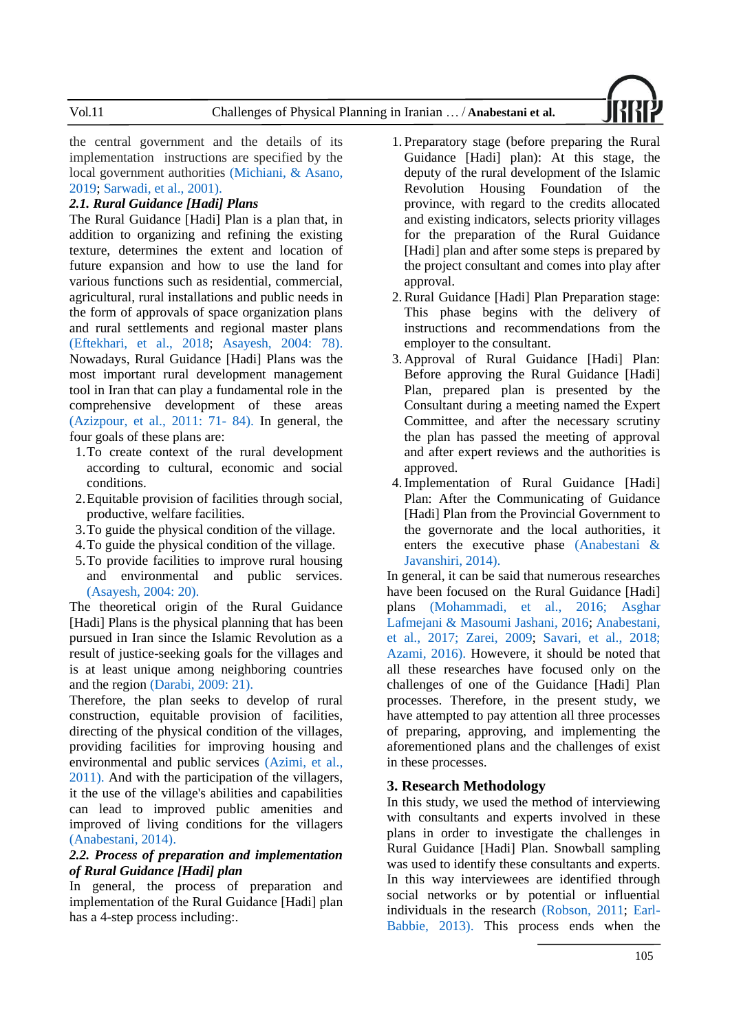the central government and the details of its implementation instructions are specified by the local government authorities [\(Michiani, & Asano,](#page-13-5)  [2019;](#page-13-5) [Sarwadi, et al., 2001\).](#page-13-6)

#### *2.1. Rural Guidance [Hadi] Plans*

The Rural Guidance [Hadi] Plan is a plan that, in addition to organizing and refining the existing texture, determines the extent and location of future expansion and how to use the land for various functions such as residential, commercial, agricultural, rural installations and public needs in the form of approvals of space organization plans and rural settlements and regional master plans [\(Eftekhari, et al., 2018;](#page-12-8) [Asayesh, 2004: 78\).](#page-12-9) Nowadays, Rural Guidance [Hadi] Plans was the most important rural development management tool in Iran that can play a fundamental role in the comprehensive development of these areas [\(Azizpour, et al., 2011: 71-](#page-12-10) 84). In general, the four goals of these plans are:

- 1.To create context of the rural development according to cultural, economic and social conditions.
- 2.Equitable provision of facilities through social, productive, welfare facilities.
- 3.To guide the physical condition of the village.
- 4.To guide the physical condition of the village.
- 5.To provide facilities to improve rural housing and environmental and public services. [\(Asayesh, 2004: 20\).](#page-12-9)

The theoretical origin of the Rural Guidance [Hadi] Plans is the physical planning that has been pursued in Iran since the Islamic Revolution as a result of justice-seeking goals for the villages and is at least unique among neighboring countries and the region [\(Darabi, 2009: 21\).](#page-12-11)

Therefore, the plan seeks to develop of rural construction, equitable provision of facilities, directing of the physical condition of the villages, providing facilities for improving housing and environmental and public services [\(Azimi, et al.,](#page-12-12)  [2011\).](#page-12-12) And with the participation of the villagers, it the use of the village's abilities and capabilities can lead to improved public amenities and improved of living conditions for the villagers [\(Anabestani, 2014\).](#page-11-3)

#### *2.2. Process of preparation and implementation of Rural Guidance [Hadi] plan*

In general, the process of preparation and implementation of the Rural Guidance [Hadi] plan has a 4-step process including:.

- 1. Preparatory stage (before preparing the Rural Guidance [Hadi] plan): At this stage, the deputy of the rural development of the Islamic Revolution Housing Foundation of the province, with regard to the credits allocated and existing indicators, selects priority villages for the preparation of the Rural Guidance [Hadi] plan and after some steps is prepared by the project consultant and comes into play after approval.
- 2.Rural Guidance [Hadi] Plan Preparation stage: This phase begins with the delivery of instructions and recommendations from the employer to the consultant.
- 3. Approval of Rural Guidance [Hadi] Plan: Before approving the Rural Guidance [Hadi] Plan, prepared plan is presented by the Consultant during a meeting named the Expert Committee, and after the necessary scrutiny the plan has passed the meeting of approval and after expert reviews and the authorities is approved.
- 4.Implementation of Rural Guidance [Hadi] Plan: After the Communicating of Guidance [Hadi] Plan from the Provincial Government to the governorate and the local authorities, it enters the executive phase [\(Anabestani &](#page-11-4)  [Javanshiri, 2014\).](#page-11-4)

In general, it can be said that numerous researches have been focused on the Rural Guidance [Hadi] plans [\(Mohammadi, et al., 2016;](#page-13-7) [Asghar](#page-12-6)  [Lafmejani & Masoumi Jashani, 2016;](#page-12-6) [Anabestani,](#page-12-13)  [et al., 2017;](#page-12-13) [Zarei, 2009;](#page-14-2) [Savari, et al., 2018;](#page-13-8) [Azami, 2016\).](#page-12-3) Howevere, it should be noted that all these researches have focused only on the challenges of one of the Guidance [Hadi] Plan processes. Therefore, in the present study, we have attempted to pay attention all three processes of preparing, approving, and implementing the aforementioned plans and the challenges of exist in these processes.

#### **3. Research Methodology**

In this study, we used the method of interviewing with consultants and experts involved in these plans in order to investigate the challenges in Rural Guidance [Hadi] Plan. Snowball sampling was used to identify these consultants and experts. In this way interviewees are identified through social networks or by potential or influential individuals in the research [\(Robson, 2011;](#page-13-9) [Earl-](#page-12-14)[Babbie, 2013\).](#page-12-14) This process ends when the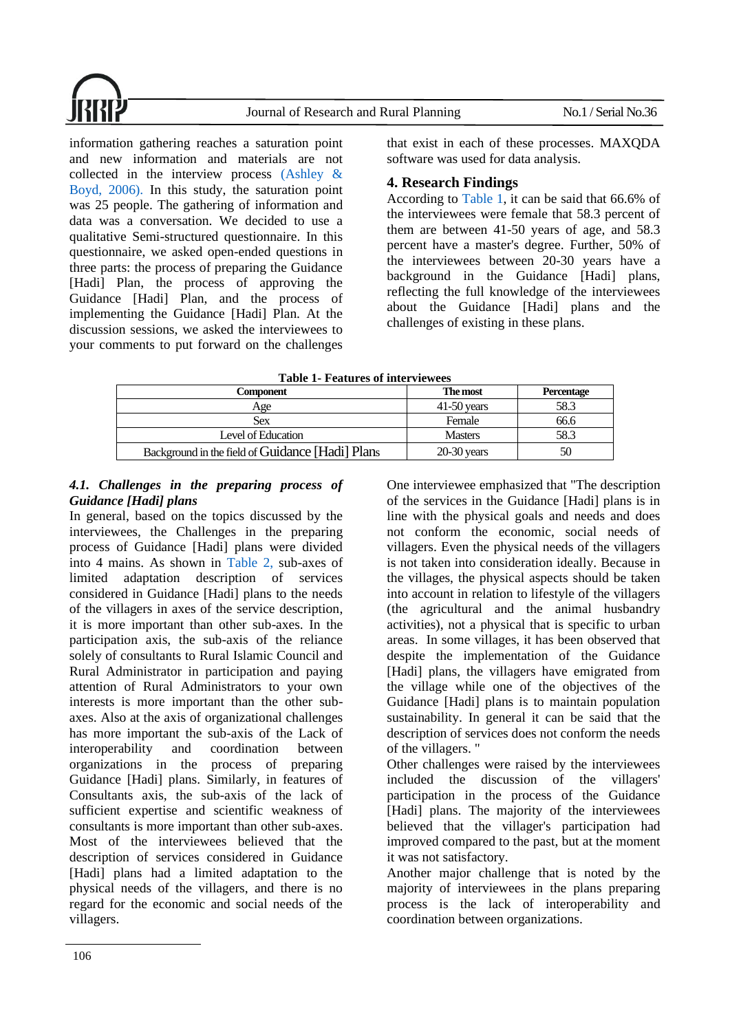information gathering reaches a saturation point and new information and materials are not collected in the interview process [\(Ashley &](#page-12-15)  [Boyd, 2006\).](#page-12-15) In this study, the saturation point was 25 people. The gathering of information and data was a conversation. We decided to use a qualitative Semi-structured questionnaire. In this questionnaire, we asked open-ended questions in three parts: the process of preparing the Guidance [Hadi] Plan, the process of approving the Guidance [Hadi] Plan, and the process of implementing the Guidance [Hadi] Plan. At the discussion sessions, we asked the interviewees to your comments to put forward on the challenges

that exist in each of these processes. MAXQDA software was used for data analysis.

## **4. Research Findings**

According to [Table 1,](#page-3-0) it can be said that 66.6% of the interviewees were female that 58.3 percent of them are between 41-50 years of age, and 58.3 percent have a master's degree. Further, 50% of the interviewees between 20-30 years have a background in the Guidance [Hadi] plans, reflecting the full knowledge of the interviewees about the Guidance [Hadi] plans and the challenges of existing in these plans.

| <b>Table 1- Features of interviewees</b> |  |
|------------------------------------------|--|
|------------------------------------------|--|

<span id="page-3-0"></span>

| The most      | <b>Percentage</b> |
|---------------|-------------------|
| $41-50$ years | 58.3              |
| Female        | 66.6              |
| Masters       | 58.3              |
| $20-30$ years | 50                |
|               |                   |

### *4.1. Challenges in the preparing process of Guidance [Hadi] plans*

In general, based on the topics discussed by the interviewees, the Challenges in the preparing process of Guidance [Hadi] plans were divided into 4 mains. As shown in [Table 2,](#page-4-0) sub-axes of limited adaptation description of services considered in Guidance [Hadi] plans to the needs of the villagers in axes of the service description, it is more important than other sub-axes. In the participation axis, the sub-axis of the reliance solely of consultants to Rural Islamic Council and Rural Administrator in participation and paying attention of Rural Administrators to your own interests is more important than the other subaxes. Also at the axis of organizational challenges has more important the sub-axis of the Lack of interoperability and coordination between organizations in the process of preparing Guidance [Hadi] plans. Similarly, in features of Consultants axis, the sub-axis of the lack of sufficient expertise and scientific weakness of consultants is more important than other sub-axes. Most of the interviewees believed that the description of services considered in Guidance [Hadi] plans had a limited adaptation to the physical needs of the villagers, and there is no regard for the economic and social needs of the villagers.

One interviewee emphasized that "The description of the services in the Guidance [Hadi] plans is in line with the physical goals and needs and does not conform the economic, social needs of villagers. Even the physical needs of the villagers is not taken into consideration ideally. Because in the villages, the physical aspects should be taken into account in relation to lifestyle of the villagers (the agricultural and the animal husbandry activities), not a physical that is specific to urban areas. In some villages, it has been observed that despite the implementation of the Guidance [Hadi] plans, the villagers have emigrated from the village while one of the objectives of the Guidance [Hadi] plans is to maintain population sustainability. In general it can be said that the description of services does not conform the needs of the villagers. "

Other challenges were raised by the interviewees included the discussion of the villagers' participation in the process of the Guidance [Hadi] plans. The majority of the interviewees believed that the villager's participation had improved compared to the past, but at the moment it was not satisfactory.

Another major challenge that is noted by the majority of interviewees in the plans preparing process is the lack of interoperability and coordination between organizations.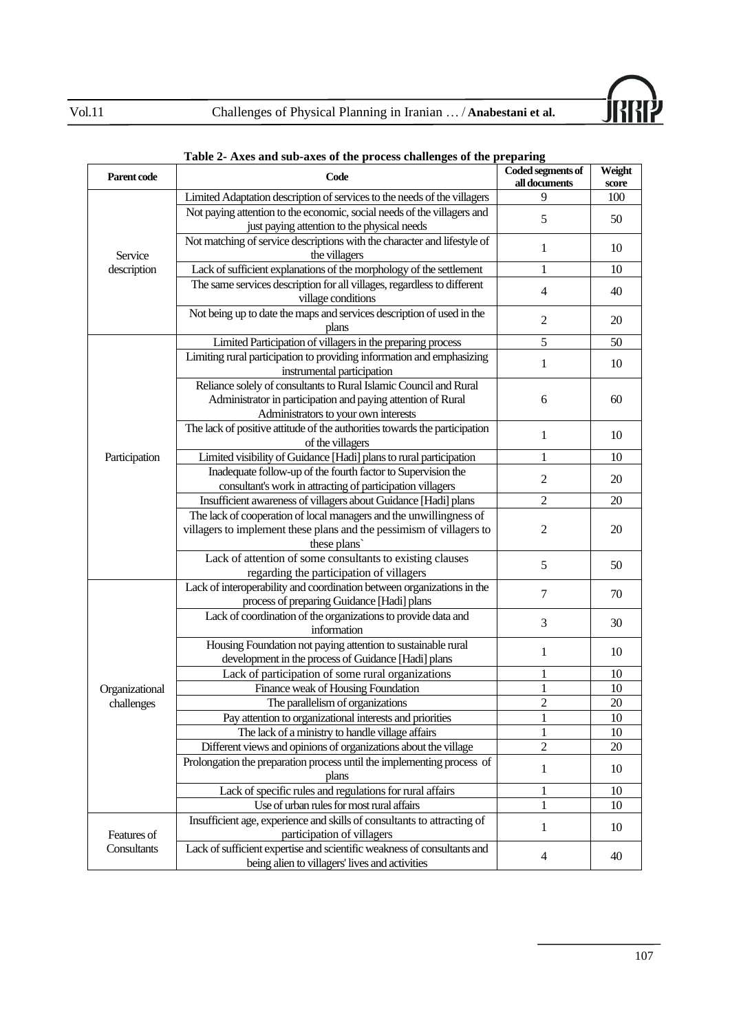

| Parent code    | Code                                                                                                                   | Coded segments of<br>all documents | Weight |
|----------------|------------------------------------------------------------------------------------------------------------------------|------------------------------------|--------|
|                |                                                                                                                        | 9                                  | score  |
|                | Limited Adaptation description of services to the needs of the villagers                                               |                                    | 100    |
|                | Not paying attention to the economic, social needs of the villagers and<br>just paying attention to the physical needs | 5                                  | 50     |
|                | Not matching of service descriptions with the character and lifestyle of                                               |                                    |        |
| Service        | the villagers                                                                                                          | 1                                  | 10     |
| description    | Lack of sufficient explanations of the morphology of the settlement                                                    | 1                                  | 10     |
|                | The same services description for all villages, regardless to different                                                |                                    |        |
|                | village conditions                                                                                                     | $\overline{4}$                     | 40     |
|                | Not being up to date the maps and services description of used in the                                                  |                                    |        |
|                | plans                                                                                                                  | $\mathbf{2}$                       | 20     |
|                | Limited Participation of villagers in the preparing process                                                            | 5                                  | 50     |
|                | Limiting rural participation to providing information and emphasizing                                                  |                                    |        |
|                | instrumental participation                                                                                             | $\mathbf{1}$                       | 10     |
|                | Reliance solely of consultants to Rural Islamic Council and Rural                                                      |                                    |        |
|                | Administrator in participation and paying attention of Rural                                                           | 6                                  | 60     |
|                | Administrators to your own interests                                                                                   |                                    |        |
|                | The lack of positive attitude of the authorities towards the participation                                             | 1                                  | 10     |
|                | of the villagers                                                                                                       |                                    |        |
| Participation  | Limited visibility of Guidance [Hadi] plans to rural participation                                                     | $\mathbf{1}$                       | 10     |
|                | Inadequate follow-up of the fourth factor to Supervision the                                                           | $\overline{c}$                     | 20     |
|                | consultant's work in attracting of participation villagers                                                             |                                    |        |
|                | Insufficient awareness of villagers about Guidance [Hadi] plans                                                        | 2                                  | 20     |
|                | The lack of cooperation of local managers and the unwillingness of                                                     |                                    |        |
|                | villagers to implement these plans and the pessimism of villagers to                                                   | 2                                  | 20     |
|                | these plans                                                                                                            |                                    |        |
|                | Lack of attention of some consultants to existing clauses<br>regarding the participation of villagers                  | 5                                  | 50     |
|                | Lack of interoperability and coordination between organizations in the                                                 |                                    |        |
|                | process of preparing Guidance [Hadi] plans                                                                             | 7                                  | 70     |
|                | Lack of coordination of the organizations to provide data and                                                          |                                    |        |
|                | information                                                                                                            | 3                                  | 30     |
|                | Housing Foundation not paying attention to sustainable rural                                                           |                                    |        |
|                | development in the process of Guidance [Hadi] plans                                                                    | 1                                  | 10     |
|                | Lack of participation of some rural organizations                                                                      | 1                                  | 10     |
| Organizational | Finance weak of Housing Foundation                                                                                     | 1                                  | 10     |
| challenges     | The parallelism of organizations                                                                                       | 2                                  | 20     |
|                | Pay attention to organizational interests and priorities                                                               |                                    | 10     |
|                | The lack of a ministry to handle village affairs                                                                       | 1                                  | 10     |
|                | Different views and opinions of organizations about the village                                                        | $\mathbf{2}$                       | 20     |
|                | Prolongation the preparation process until the implementing process of                                                 | 1                                  | 10     |
|                | plans                                                                                                                  |                                    |        |
|                | Lack of specific rules and regulations for rural affairs                                                               | 1                                  | 10     |
|                | Use of urban rules for most rural affairs                                                                              | 1                                  | 10     |
|                | Insufficient age, experience and skills of consultants to attracting of                                                | $\mathbf{1}$                       | 10     |
| Features of    | participation of villagers                                                                                             |                                    |        |
| Consultants    | Lack of sufficient expertise and scientific weakness of consultants and                                                | 4                                  | 40     |
|                | being alien to villagers' lives and activities                                                                         |                                    |        |

### <span id="page-4-0"></span>**Table 2- Axes and sub-axes of the process challenges of the preparing**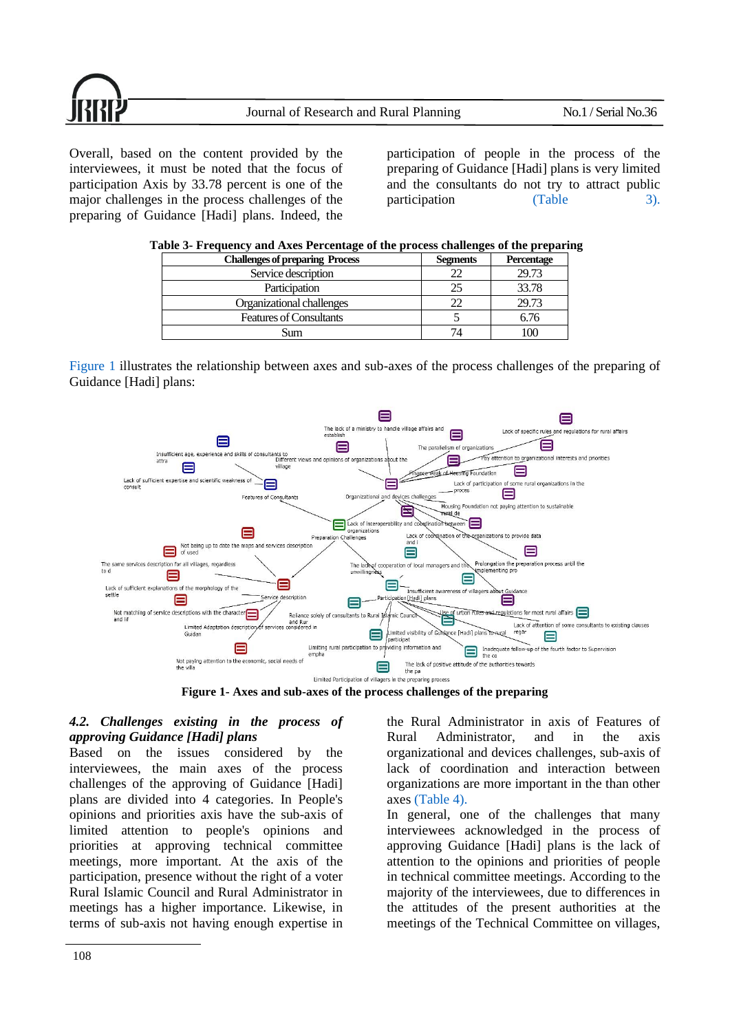

Overall, based on the content provided by the interviewees, it must be noted that the focus of participation Axis by 33.78 percent is one of the major challenges in the process challenges of the preparing of Guidance [Hadi] plans. Indeed, the participation of people in the process of the preparing of Guidance [Hadi] plans is very limited and the consultants do not try to attract public participation [\(Table 3\).](#page-5-0)

<span id="page-5-0"></span>

| <b>Challenges of preparing Process</b> | <b>Segments</b> | Percentage |
|----------------------------------------|-----------------|------------|
| Service description                    |                 | 29.73      |
| Participation                          |                 | 33.78      |
| Organizational challenges              |                 | 29.73      |
| <b>Features of Consultants</b>         |                 | 6.76       |
| Sum                                    |                 |            |

| Table 3- Frequency and Axes Percentage of the process challenges of the preparing |  |  |  |  |
|-----------------------------------------------------------------------------------|--|--|--|--|
|                                                                                   |  |  |  |  |

[Figure 1](#page-5-1) illustrates the relationship between axes and sub-axes of the process challenges of the preparing of Guidance [Hadi] plans:



**Figure 1- Axes and sub-axes of the process challenges of the preparing** 

#### <span id="page-5-1"></span>*4.2. Challenges existing in the process of approving Guidance [Hadi] plans*

Based on the issues considered by the interviewees, the main axes of the process challenges of the approving of Guidance [Hadi] plans are divided into 4 categories. In People's opinions and priorities axis have the sub-axis of limited attention to people's opinions and priorities at approving technical committee meetings, more important. At the axis of the participation, presence without the right of a voter Rural Islamic Council and Rural Administrator in meetings has a higher importance. Likewise, in terms of sub-axis not having enough expertise in the Rural Administrator in axis of Features of Rural Administrator, and in the axis organizational and devices challenges, sub-axis of lack of coordination and interaction between organizations are more important in the than other axes [\(Table 4\).](#page-6-0)

In general, one of the challenges that many interviewees acknowledged in the process of approving Guidance [Hadi] plans is the lack of attention to the opinions and priorities of people in technical committee meetings. According to the majority of the interviewees, due to differences in the attitudes of the present authorities at the meetings of the Technical Committee on villages,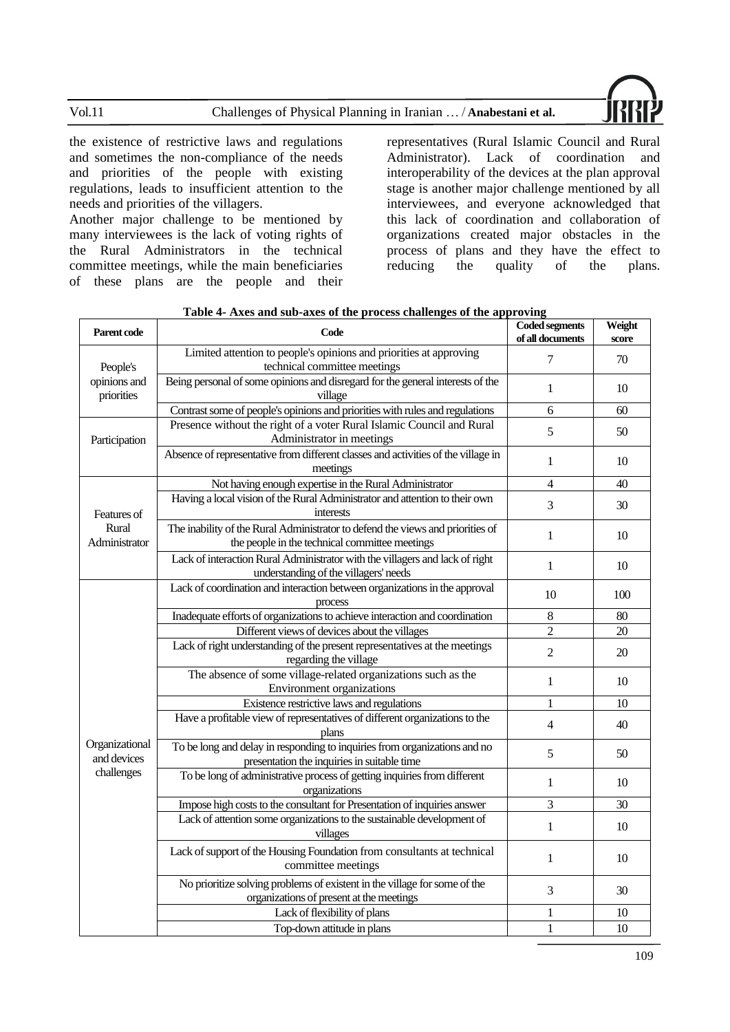Vol.11 Challenges of Physical Planning in Iranian … / **Anabestani et al.**



the existence of restrictive laws and regulations and sometimes the non-compliance of the needs and priorities of the people with existing regulations, leads to insufficient attention to the needs and priorities of the villagers.

Another major challenge to be mentioned by many interviewees is the lack of voting rights of the Rural Administrators in the technical committee meetings, while the main beneficiaries of these plans are the people and their

representatives (Rural Islamic Council and Rural Administrator). Lack of coordination and interoperability of the devices at the plan approval stage is another major challenge mentioned by all interviewees, and everyone acknowledged that this lack of coordination and collaboration of organizations created major obstacles in the process of plans and they have the effect to reducing the quality of the plans.

| Parent code                   | Code                                                                                                                             | <b>Coded segments</b><br>of all documents | Weight<br>score |
|-------------------------------|----------------------------------------------------------------------------------------------------------------------------------|-------------------------------------------|-----------------|
| People's                      | Limited attention to people's opinions and priorities at approving<br>technical committee meetings                               | 7                                         | 70              |
| opinions and<br>priorities    | Being personal of some opinions and disregard for the general interests of the<br>village                                        | 1                                         | 10              |
|                               | Contrast some of people's opinions and priorities with rules and regulations                                                     | 6                                         | 60              |
| Participation                 | Presence without the right of a voter Rural Islamic Council and Rural<br>Administrator in meetings                               | 5                                         | 50              |
|                               | Absence of representative from different classes and activities of the village in<br>meetings                                    | 1                                         | 10              |
|                               | Not having enough expertise in the Rural Administrator                                                                           | $\overline{4}$                            | 40              |
| Features of                   | Having a local vision of the Rural Administrator and attention to their own<br>interests                                         | 3                                         | 30              |
| Rural<br>Administrator        | The inability of the Rural Administrator to defend the views and priorities of<br>the people in the technical committee meetings | $\mathbf{1}$                              | 10              |
|                               | Lack of interaction Rural Administrator with the villagers and lack of right<br>understanding of the villagers' needs            | $\mathbf{1}$                              | 10              |
|                               | Lack of coordination and interaction between organizations in the approval<br>process                                            | 10                                        | 100             |
|                               | Inadequate efforts of organizations to achieve interaction and coordination                                                      | 8                                         | 80              |
|                               | Different views of devices about the villages                                                                                    | $\overline{2}$                            | 20              |
|                               | Lack of right understanding of the present representatives at the meetings<br>regarding the village                              | $\overline{2}$                            | 20              |
|                               | The absence of some village-related organizations such as the<br>Environment organizations                                       | $\mathbf{1}$                              | 10              |
|                               | Existence restrictive laws and regulations                                                                                       | 1                                         | 10              |
|                               | Have a profitable view of representatives of different organizations to the<br>plans                                             | 4                                         | 40              |
| Organizational<br>and devices | To be long and delay in responding to inquiries from organizations and no<br>presentation the inquiries in suitable time         | 5                                         | 50              |
| challenges                    | To be long of administrative process of getting inquiries from different<br>organizations                                        | 1                                         | 10              |
|                               | Impose high costs to the consultant for Presentation of inquiries answer                                                         | 3                                         | 30              |
|                               | Lack of attention some organizations to the sustainable development of<br>villages                                               | $\mathbf{1}$                              | 10              |
|                               | Lack of support of the Housing Foundation from consultants at technical<br>committee meetings                                    | $\mathbf{1}$                              | 10              |
|                               | No prioritize solving problems of existent in the village for some of the<br>organizations of present at the meetings            | 3                                         | 30              |
|                               | Lack of flexibility of plans                                                                                                     | 1                                         | 10              |
|                               | Top-down attitude in plans                                                                                                       | 1                                         | 10              |

<span id="page-6-0"></span>

| Table 4- Axes and sub-axes of the process challenges of the approving |  |
|-----------------------------------------------------------------------|--|
|                                                                       |  |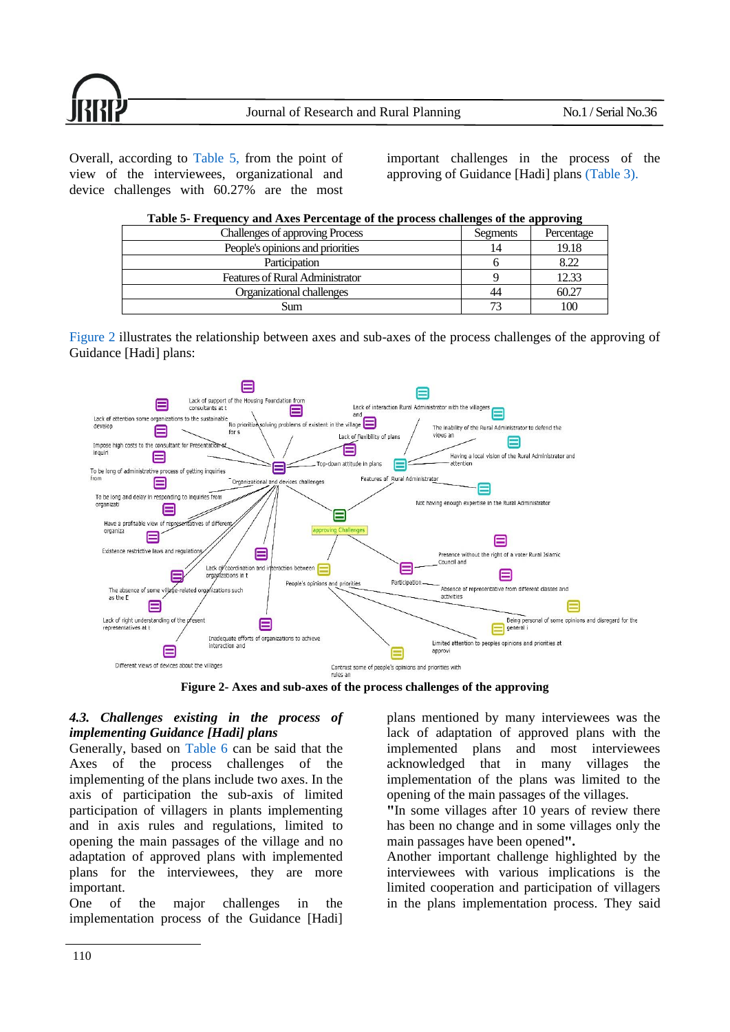

Overall, according to [Table 5,](#page-7-0) from the point of view of the interviewees, organizational and device challenges with 60.27% are the most

important challenges in the process of the approving of Guidance [Hadi] plans [\(Table](#page-5-0) 3).

| Table 5- Frequency and Axes Percentage of the process challenges of the approving |          |            |  |  |  |
|-----------------------------------------------------------------------------------|----------|------------|--|--|--|
| <b>Challenges of approving Process</b>                                            | Segments | Percentage |  |  |  |
| People's opinions and priorities                                                  | 14       | 19.18      |  |  |  |
| Participation                                                                     |          | 8.22       |  |  |  |
| <b>Features of Rural Administrator</b>                                            |          | 12.33      |  |  |  |
| Organizational challenges                                                         | 44       | 60.27      |  |  |  |
| Sum                                                                               | 73       | 100        |  |  |  |

<span id="page-7-0"></span>

|  | Table 5- Frequency and Axes Percentage of the process challenges of the approving |
|--|-----------------------------------------------------------------------------------|
|  |                                                                                   |

[Figure 2](#page-7-1) illustrates the relationship between axes and sub-axes of the process challenges of the approving of Guidance [Hadi] plans:



<span id="page-7-1"></span>**Figure 2- Axes and sub-axes of the process challenges of the approving** 

## *4.3. Challenges existing in the process of implementing Guidance [Hadi] plans*

Generally, based on [Table 6](#page-8-0) can be said that the Axes of the process challenges of the implementing of the plans include two axes. In the axis of participation the sub-axis of limited participation of villagers in plants implementing and in axis rules and regulations, limited to opening the main passages of the village and no adaptation of approved plans with implemented plans for the interviewees, they are more important.

One of the major challenges in the implementation process of the Guidance [Hadi] plans mentioned by many interviewees was the lack of adaptation of approved plans with the implemented plans and most interviewees acknowledged that in many villages the implementation of the plans was limited to the opening of the main passages of the villages.

**"**In some villages after 10 years of review there has been no change and in some villages only the main passages have been opened".

Another important challenge highlighted by the interviewees with various implications is the limited cooperation and participation of villagers in the plans implementation process. They said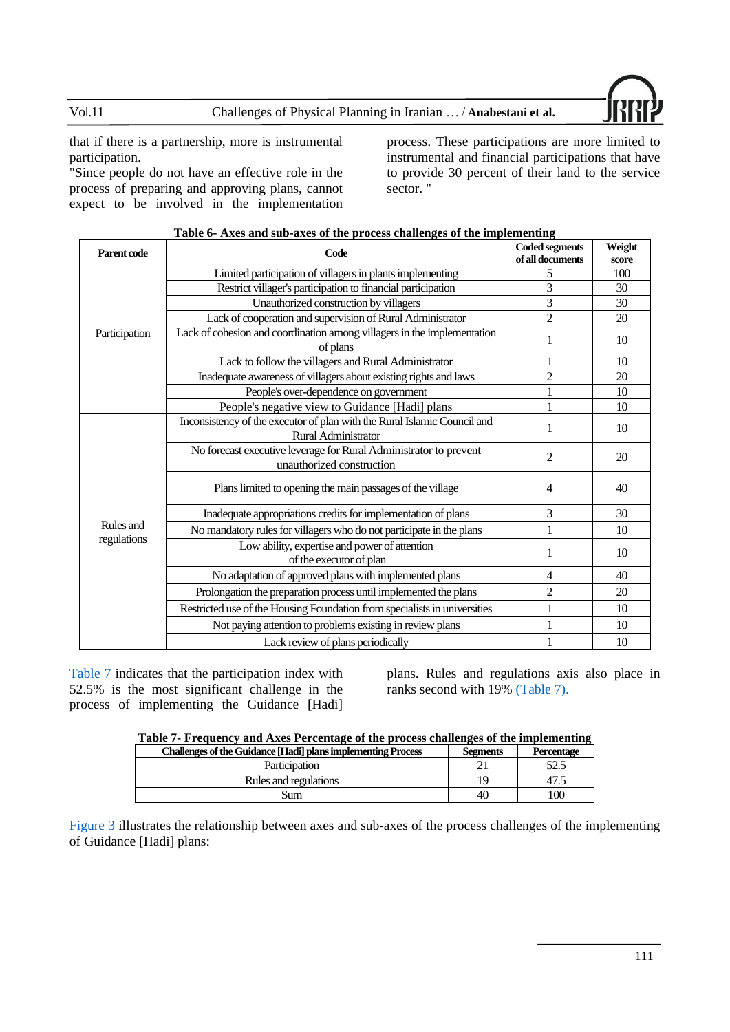

that if there is a partnership, more is instrumental participation.

"Since people do not have an effective role in the process of preparing and approving plans, cannot expect to be involved in the implementation process. These participations are more limited to instrumental and financial participations that have to provide 30 percent of their land to the service sector. "

| Parent code<br>Code |                                                                                                 | <b>Coded segments</b> | Weight |
|---------------------|-------------------------------------------------------------------------------------------------|-----------------------|--------|
|                     |                                                                                                 | of all documents      | score  |
|                     | Limited participation of villagers in plants implementing                                       | 5                     | 100    |
|                     | Restrict villager's participation to financial participation                                    | 3                     | 30     |
|                     | Unauthorized construction by villagers                                                          | 3                     | 30     |
|                     | Lack of cooperation and supervision of Rural Administrator                                      | $\overline{2}$        | 20     |
| Participation       | Lack of cohesion and coordination among villagers in the implementation<br>of plans             | 1                     | 10     |
|                     | Lack to follow the villagers and Rural Administrator                                            |                       | 10     |
|                     | Inadequate awareness of villagers about existing rights and laws                                | $\overline{c}$        | 20     |
|                     | People's over-dependence on government                                                          |                       | 10     |
|                     | People's negative view to Guidance [Hadi] plans                                                 |                       | 10     |
|                     | Inconsistency of the executor of plan with the Rural Islamic Council and<br>Rural Administrator | 1                     | 10     |
|                     | No forecast executive leverage for Rural Administrator to prevent<br>unauthorized construction  | $\overline{c}$        | 20     |
|                     | Plans limited to opening the main passages of the village                                       | 4                     | 40     |
|                     | Inadequate appropriations credits for implementation of plans                                   | 3                     | 30     |
| Rules and           | No mandatory rules for villagers who do not participate in the plans                            | 1                     | 10     |
| regulations         | Low ability, expertise and power of attention<br>of the executor of plan                        | 1                     | 10     |
|                     | No adaptation of approved plans with implemented plans                                          | 4                     | 40     |
|                     | Prolongation the preparation process until implemented the plans                                | $\overline{c}$        | 20     |
|                     | Restricted use of the Housing Foundation from specialists in universities                       | 1                     | 10     |
|                     | Not paying attention to problems existing in review plans                                       |                       | 10     |
|                     | Lack review of plans periodically                                                               |                       | 10     |

#### <span id="page-8-0"></span>**Table 6- Axes and sub-axes of the process challenges of the implementing**

[Table 7](#page-8-1) indicates that the participation index with 52.5% is the most significant challenge in the process of implementing the Guidance [Hadi]

plans. Rules and regulations axis also place in ranks second with 19[% \(Table](#page-8-1) 7).

<span id="page-8-1"></span>

| Table 7- Frequency and Axes Percentage of the process challenges of the implementing |  |  |  |  |
|--------------------------------------------------------------------------------------|--|--|--|--|
|                                                                                      |  |  |  |  |
|                                                                                      |  |  |  |  |

| <b>Challenges of the Guidance [Hadi] plans implementing Process</b> | <b>Segments</b> | Percentage |
|---------------------------------------------------------------------|-----------------|------------|
| Participation                                                       |                 |            |
| Rules and regulations                                               |                 |            |
| Sum                                                                 | 40              |            |

[Figure 3](#page-9-0) illustrates the relationship between axes and sub-axes of the process challenges of the implementing of Guidance [Hadi] plans: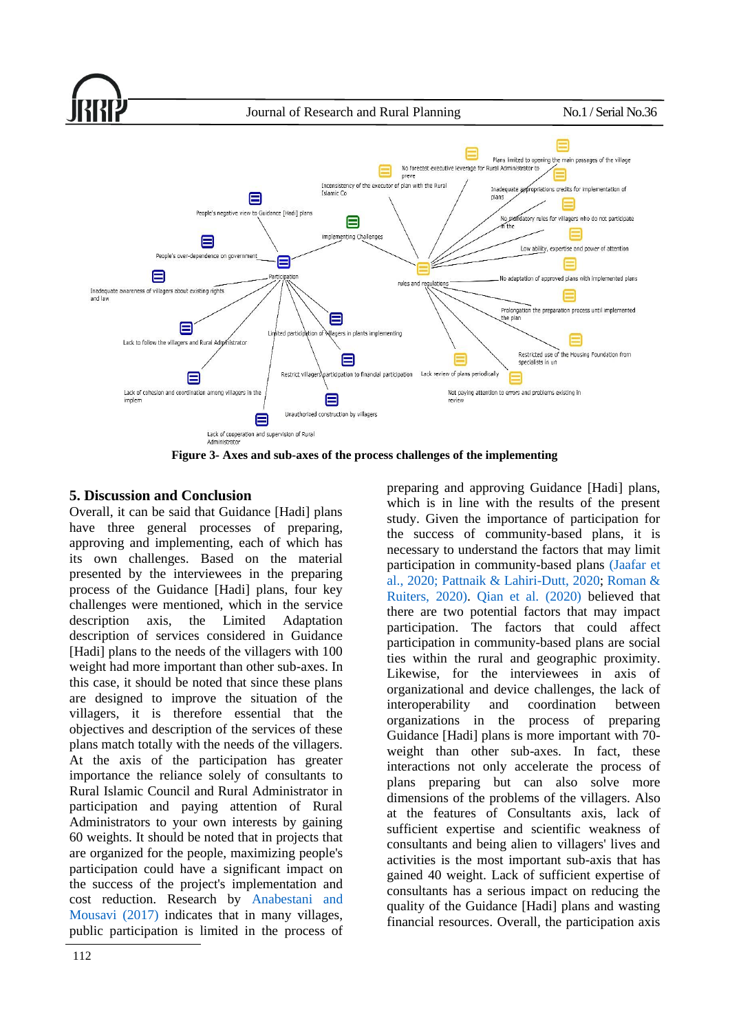

<span id="page-9-0"></span>**Figure 3- Axes and sub-axes of the process challenges of the implementing** 

## **5. Discussion and Conclusion**

Overall, it can be said that Guidance [Hadi] plans have three general processes of preparing, approving and implementing, each of which has its own challenges. Based on the material presented by the interviewees in the preparing process of the Guidance [Hadi] plans, four key challenges were mentioned, which in the service description axis, the Limited Adaptation description of services considered in Guidance [Hadi] plans to the needs of the villagers with 100 weight had more important than other sub-axes. In this case, it should be noted that since these plans are designed to improve the situation of the villagers, it is therefore essential that the objectives and description of the services of these plans match totally with the needs of the villagers. At the axis of the participation has greater importance the reliance solely of consultants to Rural Islamic Council and Rural Administrator in participation and paying attention of Rural Administrators to your own interests by gaining 60 weights. It should be noted that in projects that are organized for the people, maximizing people's participation could have a significant impact on the success of the project's implementation and cost reduction. Research by [Anabestani and](#page-12-13)  [Mousavi \(2017\)](#page-12-13) indicates that in many villages, public participation is limited in the process of preparing and approving Guidance [Hadi] plans, which is in line with the results of the present study. Given the importance of participation for the success of community-based plans, it is necessary to understand the factors that may limit participation in community-based plans [\(Jaafar et](#page-12-16)  [al., 2020;](#page-12-16) [Pattnaik & Lahiri-Dutt, 2020;](#page-13-10) [Roman &](#page-13-11)  [Ruiters, 2020\).](#page-13-11) [Qian et al. \(2020\)](#page-13-12) believed that there are two potential factors that may impact participation. The factors that could affect participation in community-based plans are social ties within the rural and geographic proximity. Likewise, for the interviewees in axis of organizational and device challenges, the lack of interoperability and coordination between organizations in the process of preparing Guidance [Hadi] plans is more important with 70 weight than other sub-axes. In fact, these interactions not only accelerate the process of plans preparing but can also solve more dimensions of the problems of the villagers. Also at the features of Consultants axis, lack of sufficient expertise and scientific weakness of consultants and being alien to villagers' lives and activities is the most important sub-axis that has gained 40 weight. Lack of sufficient expertise of consultants has a serious impact on reducing the quality of the Guidance [Hadi] plans and wasting financial resources. Overall, the participation axis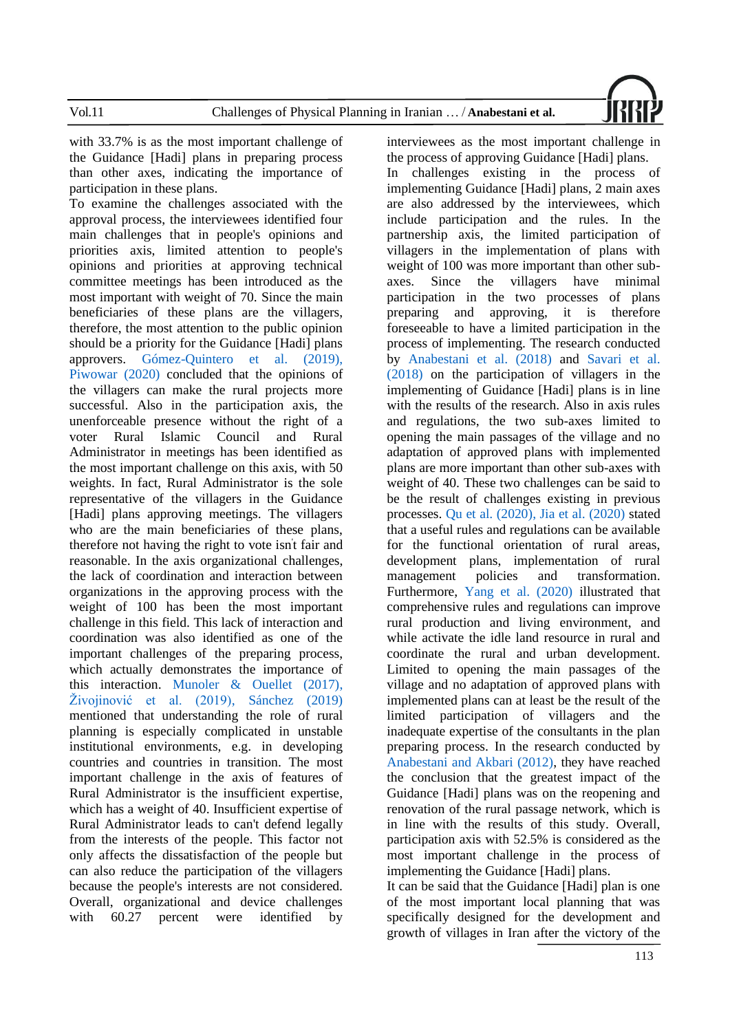

with 33.7% is as the most important challenge of the Guidance [Hadi] plans in preparing process than other axes, indicating the importance of participation in these plans.

To examine the challenges associated with the approval process, the interviewees identified four main challenges that in people's opinions and priorities axis, limited attention to people's opinions and priorities at approving technical committee meetings has been introduced as the most important with weight of 70. Since the main beneficiaries of these plans are the villagers, therefore, the most attention to the public opinion should be a priority for the Guidance [Hadi] plans approvers. [Gómez-Quintero](#page-12-17) et al. (2019), [Piwowar](#page-13-13) (2020) concluded that the opinions of the villagers can make the rural projects more successful. Also in the participation axis, the unenforceable presence without the right of a voter Rural Islamic Council and Rural Administrator in meetings has been identified as the most important challenge on this axis, with 50 weights. In fact, Rural Administrator is the sole representative of the villagers in the Guidance [Hadi] plans approving meetings. The villagers who are the main beneficiaries of these plans, therefore not having the right to vote isn' t fair and reasonable. In the axis organizational challenges, the lack of coordination and interaction between organizations in the approving process with the weight of 100 has been the most important challenge in this field. This lack of interaction and coordination was also identified as one of the important challenges of the preparing process, which actually demonstrates the importance of this interaction. [Munoler & Ouellet \(2017\),](#page-13-14) [Živojinović et al. \(2019\),](#page-14-3) [Sánchez \(2019\)](#page-13-15) mentioned that understanding the role of rural planning is especially complicated in unstable institutional environments, e.g. in developing countries and countries in transition. The most important challenge in the axis of features of Rural Administrator is the insufficient expertise, which has a weight of 40. Insufficient expertise of Rural Administrator leads to can't defend legally from the interests of the people. This factor not only affects the dissatisfaction of the people but can also reduce the participation of the villagers because the people's interests are not considered. Overall, organizational and device challenges with 60.27 percent were identified by

interviewees as the most important challenge in the process of approving Guidance [Hadi] plans.

In challenges existing in the process of implementing Guidance [Hadi] plans, 2 main axes are also addressed by the interviewees, which include participation and the rules. In the partnership axis, the limited participation of villagers in the implementation of plans with weight of 100 was more important than other subaxes. Since the villagers have minimal participation in the two processes of plans preparing and approving, it is therefore foreseeable to have a limited participation in the process of implementing. The research conducted by [Anabestani et al. \(2018\)](#page-11-5) and [Savari et al.](#page-13-8)  [\(2018\)](#page-13-8) on the participation of villagers in the implementing of Guidance [Hadi] plans is in line with the results of the research. Also in axis rules and regulations, the two sub-axes limited to opening the main passages of the village and no adaptation of approved plans with implemented plans are more important than other sub-axes with weight of 40. These two challenges can be said to be the result of challenges existing in previous processes. [Qu et al. \(2020](#page-13-16)[\), Jia et al. \(2020\)](#page-12-18) stated that a useful rules and regulations can be available for the functional orientation of rural areas, development plans, implementation of rural management policies and transformation. Furthermore, [Yang et al. \(2020\)](#page-14-4) illustrated that comprehensive rules and regulations can improve rural production and living environment, and while activate the idle land resource in rural and coordinate the rural and urban development. Limited to opening the main passages of the village and no adaptation of approved plans with implemented plans can at least be the result of the limited participation of villagers and the inadequate expertise of the consultants in the plan preparing process. In the research conducted by [Anabestani and Akbari \(2012\),](#page-11-2) they have reached the conclusion that the greatest impact of the Guidance [Hadi] plans was on the reopening and renovation of the rural passage network, which is in line with the results of this study. Overall, participation axis with 52.5% is considered as the most important challenge in the process of implementing the Guidance [Hadi] plans.

It can be said that the Guidance [Hadi] plan is one of the most important local planning that was specifically designed for the development and growth of villages in Iran after the victory of the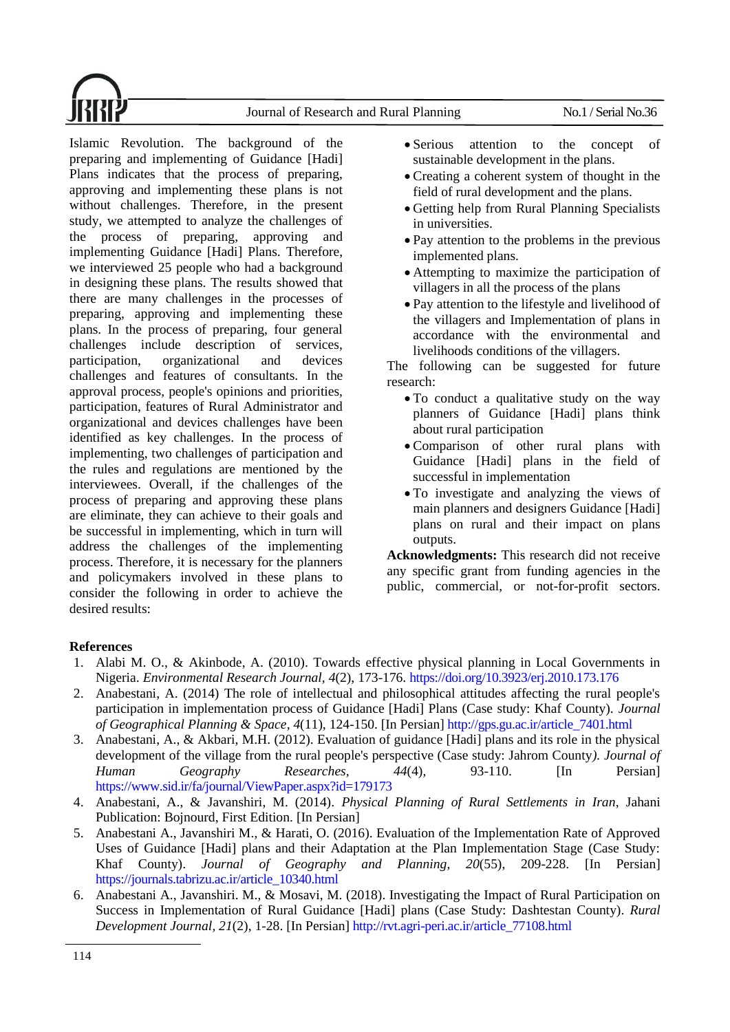Journal of Research and Rural Planning No.1 / Serial No.36



Islamic Revolution. The background of the preparing and implementing of Guidance [Hadi] Plans indicates that the process of preparing, approving and implementing these plans is not without challenges. Therefore, in the present study, we attempted to analyze the challenges of the process of preparing, approving and implementing Guidance [Hadi] Plans. Therefore, we interviewed 25 people who had a background in designing these plans. The results showed that there are many challenges in the processes of preparing, approving and implementing these plans. In the process of preparing, four general challenges include description of services, participation, organizational and devices challenges and features of consultants. In the approval process, people's opinions and priorities, participation, features of Rural Administrator and organizational and devices challenges have been identified as key challenges. In the process of implementing, two challenges of participation and the rules and regulations are mentioned by the interviewees. Overall, if the challenges of the process of preparing and approving these plans are eliminate, they can achieve to their goals and be successful in implementing, which in turn will address the challenges of the implementing process. Therefore, it is necessary for the planners and policymakers involved in these plans to consider the following in order to achieve the desired results:

- Serious attention to the concept of sustainable development in the plans.
- Creating a coherent system of thought in the field of rural development and the plans.
- Getting help from Rural Planning Specialists in universities.
- Pay attention to the problems in the previous implemented plans.
- Attempting to maximize the participation of villagers in all the process of the plans
- Pay attention to the lifestyle and livelihood of the villagers and Implementation of plans in accordance with the environmental and livelihoods conditions of the villagers.

The following can be suggested for future research:

- To conduct a qualitative study on the way planners of Guidance [Hadi] plans think about rural participation
- Comparison of other rural plans with Guidance [Hadi] plans in the field of successful in implementation
- To investigate and analyzing the views of main planners and designers Guidance [Hadi] plans on rural and their impact on plans outputs.

**Acknowledgments:** This research did not receive any specific grant from funding agencies in the public, commercial, or not-for-profit sectors.

## **References**

- <span id="page-11-0"></span>1. Alabi M. O., & Akinbode, A. (2010). Towards effective physical planning in Local Governments in Nigeria. *Environmental Research Journal, 4*(2), 173-176. <https://doi.org/10.3923/erj.2010.173.176>
- <span id="page-11-3"></span>2. Anabestani, A. (2014) The role of intellectual and philosophical attitudes affecting the rural people's participation in implementation process of Guidance [Hadi] Plans (Case study: Khaf County). *Journal of Geographical Planning & Space, 4*(11), 124-150. [In Persian] http://gps.gu.ac.ir/article\_7401.html
- <span id="page-11-2"></span>3. Anabestani, A., & Akbari, M.H. (2012). Evaluation of guidance [Hadi] plans and its role in the physical development of the village from the rural people's perspective (Case study: Jahrom County*). Journal of Human Geography Researches, 44*(4), 93-110. [In Persian] https://www.sid.ir/fa/journal/ViewPaper.aspx?id=179173
- <span id="page-11-4"></span>4. Anabestani, A., & Javanshiri, M. (2014). *Physical Planning of Rural Settlements in Iran*, Jahani Publication: Bojnourd, First Edition. [In Persian]
- <span id="page-11-1"></span>5. Anabestani A., Javanshiri M., & Harati, O. (2016). Evaluation of the Implementation Rate of Approved Uses of Guidance [Hadi] plans and their Adaptation at the Plan Implementation Stage (Case Study: Khaf County). *Journal of Geography and Planning, 20*(55), 209-228. [In Persian] https://journals.tabrizu.ac.ir/article\_10340.html
- <span id="page-11-5"></span>6. Anabestani A., Javanshiri. M., & Mosavi, M. (2018). Investigating the Impact of Rural Participation on Success in Implementation of Rural Guidance [Hadi] plans (Case Study: Dashtestan County). *Rural Development Journal, 21*(2), 1-28. [In Persian] http://rvt.agri-peri.ac.ir/article\_77108.html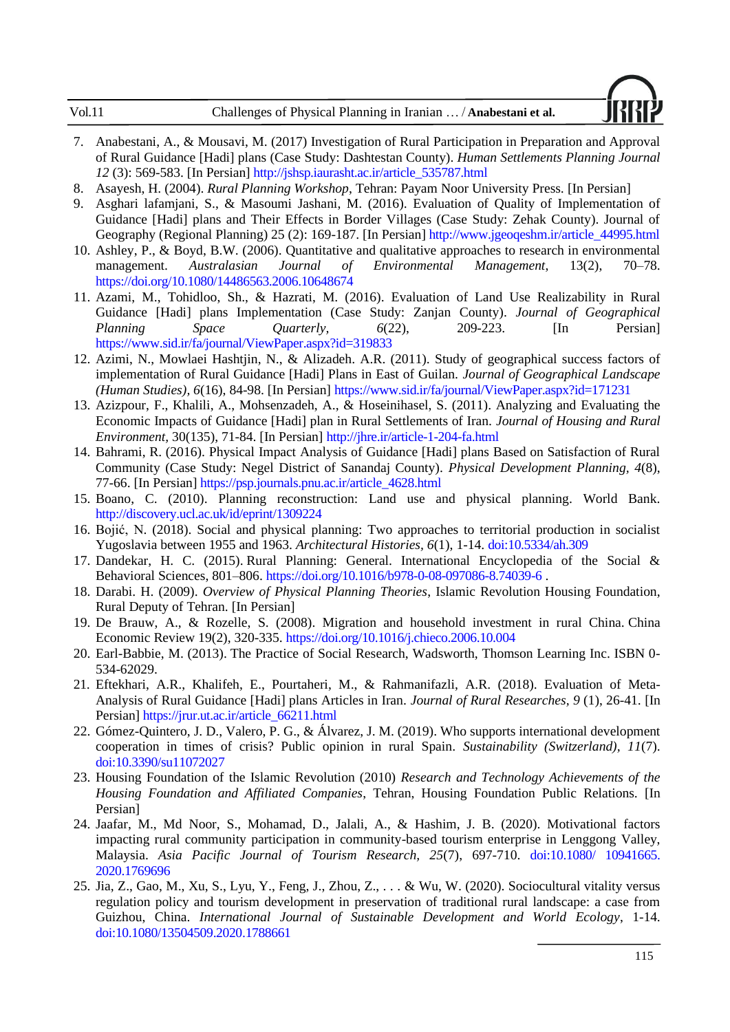| Vol.11 | Challenges of Physical Planning in Iranian  / Anabestani et al. |
|--------|-----------------------------------------------------------------|
|        |                                                                 |

- <span id="page-12-13"></span>7. Anabestani, A., & Mousavi, M. (2017) Investigation of Rural Participation in Preparation and Approval of Rural Guidance [Hadi] plans (Case Study: Dashtestan County). *Human Settlements Planning Journal 12* (3): 569-583. [In Persian] http://jshsp.iaurasht.ac.ir/article\_535787.html
- <span id="page-12-9"></span>8. Asayesh, H. (2004). *Rural Planning Workshop*, Tehran: Payam Noor University Press. [In Persian]
- <span id="page-12-6"></span>9. Asghari lafamjani, S., & Masoumi Jashani, M. (2016). Evaluation of Quality of Implementation of Guidance [Hadi] plans and Their Effects in Border Villages (Case Study: Zehak County). Journal of Geography (Regional Planning) 25 (2): 169-187. [In Persian] http://www.jgeoqeshm.ir/article\_44995.html
- <span id="page-12-15"></span>10. Ashley, P., & Boyd, B.W. (2006). Quantitative and qualitative approaches to research in environmental management. *Australasian Journal of Environmental Management*, 13(2), 70–78. https://doi.org/10.1080/14486563.2006.10648674
- <span id="page-12-3"></span>11. Azami, M., Tohidloo, Sh., & Hazrati, M. (2016). Evaluation of Land Use Realizability in Rural Guidance [Hadi] plans Implementation (Case Study: Zanjan County). *Journal of Geographical Planning Space Quarterly, 6(22), 209-223.* [In Persian] https://www.sid.ir/fa/journal/ViewPaper.aspx?id=319833
- <span id="page-12-12"></span>12. Azimi, N., Mowlaei Hashtjin, N., & Alizadeh. A.R. (2011). Study of geographical success factors of implementation of Rural Guidance [Hadi] Plans in East of Guilan. *Journal of Geographical Landscape (Human Studies), 6*(16), 84-98. [In Persian] https://www.sid.ir/fa/journal/ViewPaper.aspx?id=171231
- <span id="page-12-10"></span>13. Azizpour, F., Khalili, A., Mohsenzadeh, A., & Hoseinihasel, S. (2011). Analyzing and Evaluating the Economic Impacts of Guidance [Hadi] plan in Rural Settlements of Iran. *Journal of Housing and Rural Environment,* 30(135), 71-84. [In Persian] http://jhre.ir/article-1-204-fa.html
- <span id="page-12-5"></span>14. Bahrami, R. (2016). Physical Impact Analysis of Guidance [Hadi] plans Based on Satisfaction of Rural Community (Case Study: Negel District of Sanandaj County). *Physical Development Planning, 4*(8), 77-66. [In Persian] https://psp.journals.pnu.ac.ir/article\_4628.html
- <span id="page-12-7"></span>15. Boano, C. (2010). Planning reconstruction: Land use and physical planning. World Bank. <http://discovery.ucl.ac.uk/id/eprint/1309224>
- <span id="page-12-2"></span>16. Bojić, N. (2018). Social and physical planning: Two approaches to territorial production in socialist Yugoslavia between 1955 and 1963. *Architectural Histories, 6*(1), 1-14. doi:10.5334/ah.309
- <span id="page-12-0"></span>17. Dandekar, H. C. (2015). Rural Planning: General. International Encyclopedia of the Social & Behavioral Sciences, 801–806.<https://doi.org/10.1016/b978-0-08-097086-8.74039-6> .
- <span id="page-12-11"></span>18. Darabi. H. (2009). *Overview of Physical Planning Theories*, Islamic Revolution Housing Foundation, Rural Deputy of Tehran. [In Persian]
- <span id="page-12-1"></span>19. De Brauw, A., & Rozelle, S. (2008). Migration and household investment in rural China. China Economic Review 19(2), 320-335. <https://doi.org/10.1016/j.chieco.2006.10.004>
- <span id="page-12-14"></span>20. Earl-Babbie, M. (2013). The Practice of Social Research, Wadsworth, Thomson Learning Inc. ISBN 0- 534-62029.
- <span id="page-12-8"></span>21. Eftekhari, A.R., Khalifeh, E., Pourtaheri, M., & Rahmanifazli, A.R. (2018). Evaluation of Meta-Analysis of Rural Guidance [Hadi] plans Articles in Iran. *Journal of Rural Researches, 9* (1), 26-41. [In Persian] https://jrur.ut.ac.ir/article\_66211.html
- <span id="page-12-17"></span>22. Gómez-Quintero, J. D., Valero, P. G., & Álvarez, J. M. (2019). Who supports international development cooperation in times of crisis? Public opinion in rural Spain. *Sustainability (Switzerland), 11*(7). doi:10.3390/su11072027
- <span id="page-12-4"></span>23. Housing Foundation of the Islamic Revolution (2010) *Research and Technology Achievements of the Housing Foundation and Affiliated Companies*, Tehran, Housing Foundation Public Relations. [In Persian]
- <span id="page-12-16"></span>24. Jaafar, M., Md Noor, S., Mohamad, D., Jalali, A., & Hashim, J. B. (2020). Motivational factors impacting rural community participation in community-based tourism enterprise in Lenggong Valley, Malaysia. *Asia Pacific Journal of Tourism Research, 25*(7), 697-710. doi:10.1080/ 10941665. 2020.1769696
- <span id="page-12-18"></span>25. Jia, Z., Gao, M., Xu, S., Lyu, Y., Feng, J., Zhou, Z., . . . & Wu, W. (2020). Sociocultural vitality versus regulation policy and tourism development in preservation of traditional rural landscape: a case from Guizhou, China. *International Journal of Sustainable Development and World Ecology*, 1-14. doi:10.1080/13504509.2020.1788661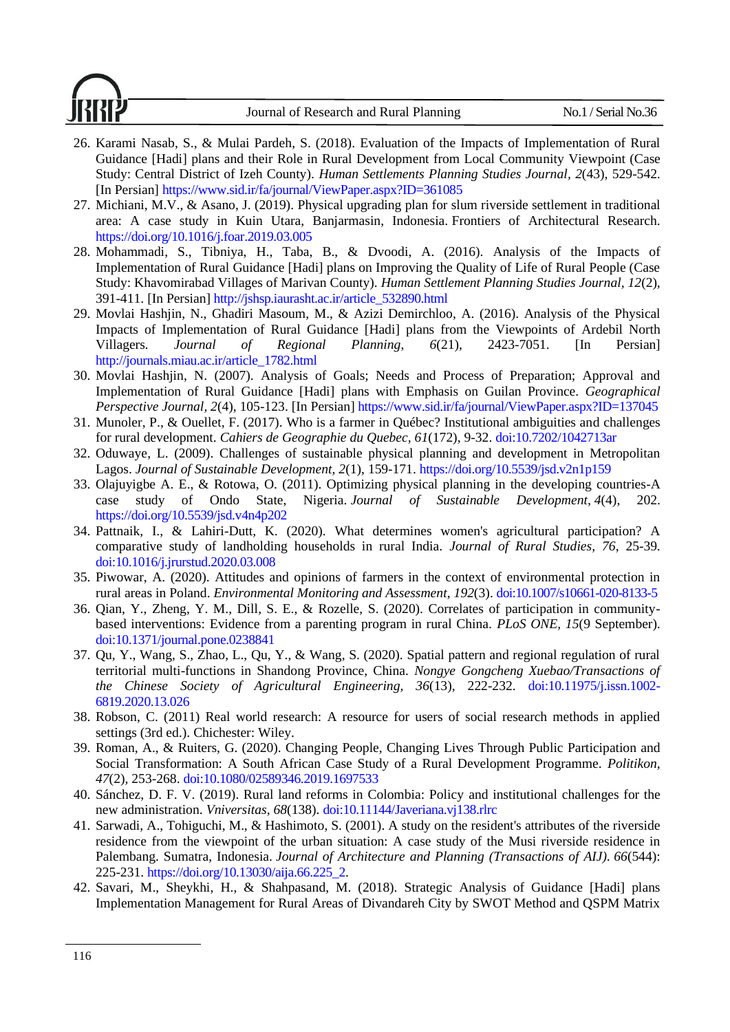Journal of Research and Rural Planning No.1 / Serial No.36

- <span id="page-13-3"></span>26. Karami Nasab, S., & Mulai Pardeh, S. (2018). Evaluation of the Impacts of Implementation of Rural Guidance [Hadi] plans and their Role in Rural Development from Local Community Viewpoint (Case Study: Central District of Izeh County). *Human Settlements Planning Studies Journal, 2*(43), 529-542. [In Persian] https://www.sid.ir/fa/journal/ViewPaper.aspx?ID=361085
- <span id="page-13-5"></span>27. Michiani, M.V., & Asano, J. (2019). Physical upgrading plan for slum riverside settlement in traditional area: A case study in Kuin Utara, Banjarmasin, Indonesia. Frontiers of Architectural Research. <https://doi.org/10.1016/j.foar.2019.03.005>
- <span id="page-13-7"></span>28. Mohammadi, S., Tibniya, H., Taba, B., & Dvoodi, A. (2016). Analysis of the Impacts of Implementation of Rural Guidance [Hadi] plans on Improving the Quality of Life of Rural People (Case Study: Khavomirabad Villages of Marivan County). *Human Settlement Planning Studies Journal, 12*(2), 391-411. [In Persian] http://jshsp.iaurasht.ac.ir/article\_532890.html
- <span id="page-13-2"></span>29. Movlai Hashjin, N., Ghadiri Masoum, M., & Azizi Demirchloo, A. (2016). Analysis of the Physical Impacts of Implementation of Rural Guidance [Hadi] plans from the Viewpoints of Ardebil North Villagers*. Journal of Regional Planning, 6*(21), 2423-7051. [In Persian] http://journals.miau.ac.ir/article\_1782.html
- <span id="page-13-4"></span>30. Movlai Hashjin, N. (2007). Analysis of Goals; Needs and Process of Preparation; Approval and Implementation of Rural Guidance [Hadi] plans with Emphasis on Guilan Province. *Geographical Perspective Journal, 2*(4), 105-123. [In Persian] https://www.sid.ir/fa/journal/ViewPaper.aspx?ID=137045
- <span id="page-13-14"></span>31. Munoler, P., & Ouellet, F. (2017). Who is a farmer in Québec? Institutional ambiguities and challenges for rural development. *Cahiers de Geographie du Quebec, 61*(172), 9-32. doi:10.7202/1042713ar
- <span id="page-13-1"></span>32. Oduwaye, L. (2009). Challenges of sustainable physical planning and development in Metropolitan Lagos. *Journal of Sustainable Development, 2*(1), 159-171. https://doi.org[/10.5539/jsd.v2n1p159](http://dx.doi.org/10.5539/jsd.v2n1p159)
- <span id="page-13-0"></span>33. Olajuyigbe A. E., & Rotowa, O. (2011). Optimizing physical planning in the developing countries-A case study of Ondo State, Nigeria. *Journal of Sustainable Development, 4*(4), 202. <https://doi.org/10.5539/jsd.v4n4p202>
- <span id="page-13-10"></span>34. Pattnaik, I., & Lahiri-Dutt, K. (2020). What determines women's agricultural participation? A comparative study of landholding households in rural India. *Journal of Rural Studies, 76*, 25-39. doi:10.1016/j.jrurstud.2020.03.008
- <span id="page-13-13"></span>35. Piwowar, A. (2020). Attitudes and opinions of farmers in the context of environmental protection in rural areas in Poland. *Environmental Monitoring and Assessment, 192*(3). doi:10.1007/s10661-020-8133-5
- <span id="page-13-12"></span>36. Qian, Y., Zheng, Y. M., Dill, S. E., & Rozelle, S. (2020). Correlates of participation in communitybased interventions: Evidence from a parenting program in rural China. *PLoS ONE, 15*(9 September). doi:10.1371/journal.pone.0238841
- <span id="page-13-16"></span>37. Qu, Y., Wang, S., Zhao, L., Qu, Y., & Wang, S. (2020). Spatial pattern and regional regulation of rural territorial multi-functions in Shandong Province, China. *Nongye Gongcheng Xuebao/Transactions of the Chinese Society of Agricultural Engineering, 36*(13), 222-232. doi:10.11975/j.issn.1002- 6819.2020.13.026
- <span id="page-13-9"></span>38. Robson, C. (2011) Real world research: A resource for users of social research methods in applied settings (3rd ed.). Chichester: Wiley.
- <span id="page-13-11"></span>39. Roman, A., & Ruiters, G. (2020). Changing People, Changing Lives Through Public Participation and Social Transformation: A South African Case Study of a Rural Development Programme. *Politikon, 47*(2), 253-268. doi:10.1080/02589346.2019.1697533
- <span id="page-13-15"></span>40. Sánchez, D. F. V. (2019). Rural land reforms in Colombia: Policy and institutional challenges for the new administration. *Vniversitas, 68*(138). doi:10.11144/Javeriana.vj138.rlrc
- <span id="page-13-6"></span>41. Sarwadi, A., Tohiguchi, M., & Hashimoto, S. (2001). A study on the resident's attributes of the riverside residence from the viewpoint of the urban situation: A case study of the Musi riverside residence in Palembang. Sumatra, Indonesia. *Journal of Architecture and Planning (Transactions of AIJ). 66*(544): 225-231. [https://doi.org/10.13030/aija.66.225\\_2.](https://doi.org/10.13030/aija.66.225_2)
- <span id="page-13-8"></span>42. Savari, M., Sheykhi, H., & Shahpasand, M. (2018). Strategic Analysis of Guidance [Hadi] plans Implementation Management for Rural Areas of Divandareh City by SWOT Method and QSPM Matrix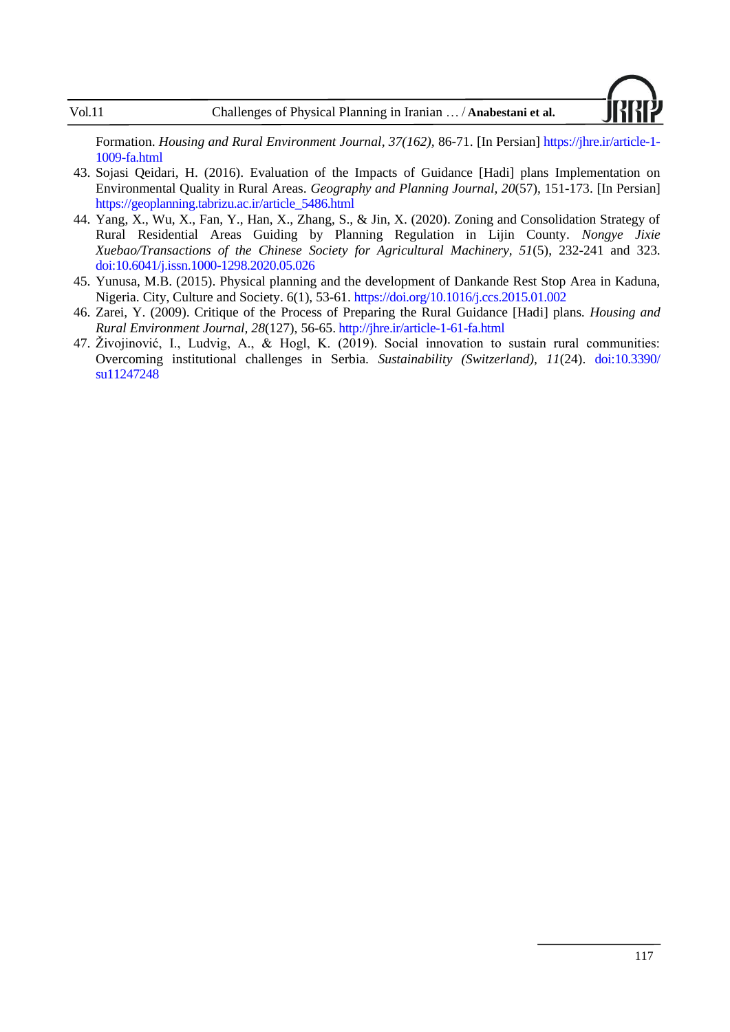

Formation. *Housing and Rural Environment Journal, 37(162),* 86-71. [In Persian] https://jhre.ir/article-1- 1009-fa.html

- <span id="page-14-1"></span>43. Sojasi Qeidari, H. (2016). Evaluation of the Impacts of Guidance [Hadi] plans Implementation on Environmental Quality in Rural Areas. *Geography and Planning Journal, 20*(57), 151-173. [In Persian] https://geoplanning.tabrizu.ac.ir/article\_5486.html
- <span id="page-14-4"></span>44. Yang, X., Wu, X., Fan, Y., Han, X., Zhang, S., & Jin, X. (2020). Zoning and Consolidation Strategy of Rural Residential Areas Guiding by Planning Regulation in Lijin County. *Nongye Jixie Xuebao/Transactions of the Chinese Society for Agricultural Machinery, 51*(5), 232-241 and 323. doi:10.6041/j.issn.1000-1298.2020.05.026
- <span id="page-14-0"></span>45. Yunusa, M.B. (2015). Physical planning and the development of Dankande Rest Stop Area in Kaduna, Nigeria. City, Culture and Society. 6(1), 53-61. https://doi.org/10.1016/j.ccs.2015.01.002
- <span id="page-14-2"></span>46. Zarei, Y. (2009). Critique of the Process of Preparing the Rural Guidance [Hadi] plans*. Housing and Rural Environment Journal, 28*(127), 56-65. http://jhre.ir/article-1-61-fa.html
- <span id="page-14-3"></span>47. Živojinović, I., Ludvig, A., & Hogl, K. (2019). Social innovation to sustain rural communities: Overcoming institutional challenges in Serbia. *Sustainability (Switzerland), 11*(24). doi:10.3390/ su11247248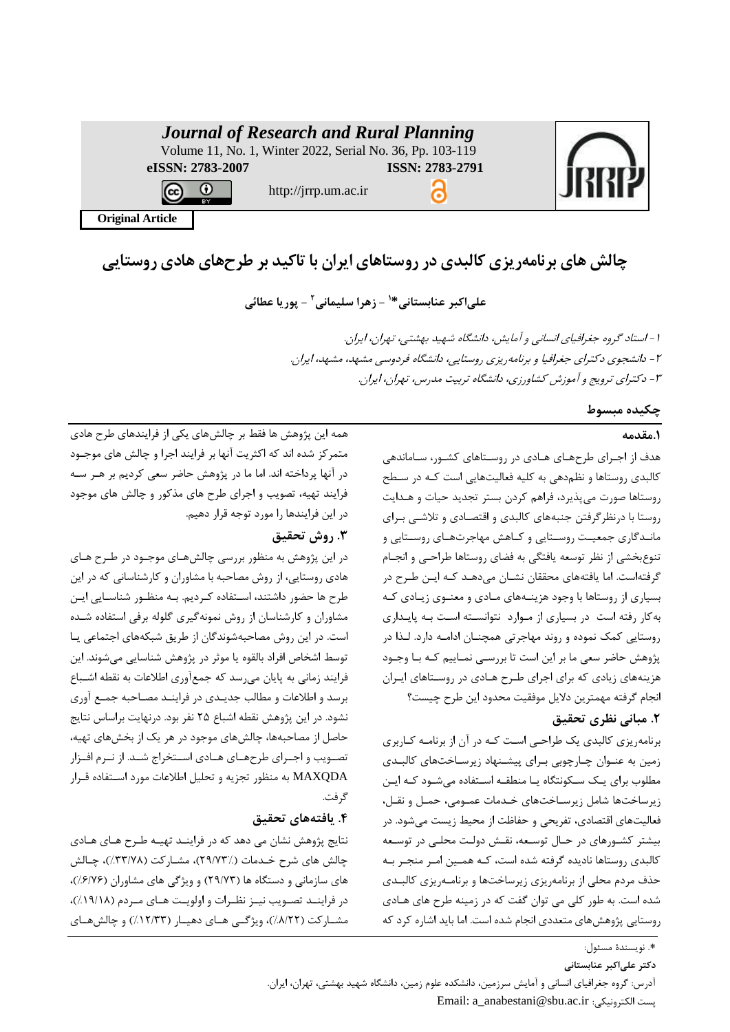| <b>Journal of Research and Rural Planning</b><br>Volume 11, No. 1, Winter 2022, Serial No. 36, Pp. 103-119 |                      |                 |  |
|------------------------------------------------------------------------------------------------------------|----------------------|-----------------|--|
| eISSN: 2783-2007                                                                                           |                      | ISSN: 2783-2791 |  |
| ΒY                                                                                                         | http://jrrp.um.ac.ir |                 |  |
| <b>Original Article</b>                                                                                    |                      |                 |  |
|                                                                                                            |                      |                 |  |

**چالش های برنامه ریزی کالبد ی در روستاه ای ایران با تاکید بر طرح های هادی روستایی** 

 **- زهرا سلیمانی <sup>1</sup> علی اکبر عنابستانی\* 2 - پوریا عطائی** 

-1 استاد گروه جغرافیای انسانی و آمایش، دانشگاه شهید بهشتی، تهران، ایران. -2 دانشجوی دکترای جغرافیا و برنامهریزی روستایی، دانشگاه فردوسی مشهد، مشهد، ایران. -3 دکترای ترویج و آموزش کشاورزی، دانشگاه تربیت مدرس، تهران، ایران.

# **چکیده مبسوط**

# **.1مقدمه**

هدف از اجررای حر هرای هرادی در روسرتاهای کشرور، سراماندهی کالبدی روستاها و نظم دهی به کلیه فعالیتهایی است کـه در سـطح روستاها صورت میپذیرد، فراهم کردن بستر تجدید حیات و هردایت روستا با درنظرگرفتن جنبههای کالبدی و اقتصرادی و تیشری بررای مانـدگاری جمعیـت روسـتایی و کـاهش مهاجرتهـای روسـتایی و تنوعبخشی از نظر توسعه یافتگی به فضای روستاها حراحری و انجرا گرفتهاست. اما یافتههای محققان نشران میدهرد کره ایرن حرر در بسیاری از روستاها با وجود هزینـههای مـادی و معنـوی زیـادی کـه بهکار رفته است در بسیاری از مروارد نتوانسرته اسرت بره پایرداری روستایی کیک نیوده و روند مهاجرتی هیچنران ادامره دارد. لرذا در پژوهش حاضر سعی ما بر این است تا بررسری نیراییم کره برا وجرود هزینههای زیادی که برای اجرای حرر هرادی در روسرتاهای ایرران انجام گرفته مهمترین دلایل موفقیت محدود این طرح چیست؟

# **.2 مبانی نظری تحقیق**

برنامهریزی کالبدی یک حراحری اسرت کره در آن از برنامره کراربری زمین به عنـوان چـارچوبی بـرای پیشـنهاد زیرسـاختهای کالبـدی مطلوب برای یک سکونتگاه یا منطقـه اسـتفاده می شـود کـه ایـن زیرساختها شامل زیرسـاختهای خـدمات عمـومی، حمـل و نقـل، فعالیتهای اقتصادی، تفریحی و حفاظت از محیط زیست میشود. در بیشتر کشرورهای در حراس توسرعه، نقرش دولرت محلری در توسرعه کالبدی روستاها نادیده گرفته شده است، کره هیرین امرر منجرر بره حذف مردم محلی از برنامهریزی زیرساختها و برنامـهریزی کالبـدی شده است. به طور کلی می توان گفت که در زمینه طرح های هـادی روستایی پژوهشهای متعددی انجام شده است. اما باید اشاره کرد که

هیه این پژوهش ها فقط بر چالشهای یگی از فرایندهای حر هادی متیرکز شده اند که اکثریت آنها بر فرایند اجرا و چالش های موجرود در آنها پرداخته اند. اما ما در پژوهش حاضر سعی کردیم بر هـر سـه فرایند تهیه، تصویب و اجرای حر های مذکور و چالش های موجود در این فرایندها را مورد توجه قرار دهیم.

# **.3 روش تحقیق**

در این پژوهش به منظور بررسی چالشهـای موجـود در طـرح هـای هادی روستایی، از روش مصاحبه با مشاوران و کارشناسانی که در این طرح ها حضور داشتند، استفاده کـردیم. بـه منظـور شناسـایی ایـن مشاوران و کارشناسان از روش نمونهگیری گلوله برفی استفاده شده است. در این روش مصاحبهشوندگان از حریق شبگههای اجتیاعی یرا توسط اشخاص افراد بالقوه یا موثر در پژوهش شناسایی میشوند. این فرایند زمانی به پایان میرسد که جمعآوری اطلاعات به نقطه اشـباع برسد و اطلاعات و مطالب جدیـدی در فراینـد مصـاحبه جمـع آوری نشود. در این پژوهش نقطه اشباع ۲۵ نفر بود. درنهایت براساس نتایج حاصل از مصاحبهها، چالشهای موجود در هر یک از بخشهای تهیه، تصـویب و اجــرای طرحهــای هــادی اســتخراج شــد. از نــرم افــزار MAXQDA به منظور تجزیه و تحلیل اطلاعات مورد استفاده قـرار گرفت.

# **.4 یافتههای تحقیق**

نتایج پژوهش نشان می دهد که در فراینرد تهیره حرر هرای هرادی چالش های شرح خـدمات (٪۲۹/۷۳)، مشــارکت (۳۳/۷۸٪)، چــالش های سازمانی و دستگاه ها 29/73( و ویژگی های مشاوران 6/76 (، در فراینـد تصـویب نیـز نظـرات و اولویـت هـای مـردم (١٩/١٨/)، مشــارکت (۸/۲۲٪)، ویژگــی هــای دهیــار (۱۲/۳۳٪) و چالشهــای

> \*. نویسندهٔ مسئول: **دکتر علیاکبر عنابستانی**

آدرس: گروه جغرافیای انسانی و آمایش سرزمین، دانشگده علو زمین، دانشگاه شهید بهشتی، تهران، ایران. Email: a\_anabestani@sbu.ac.ir :الگترونیگی پست